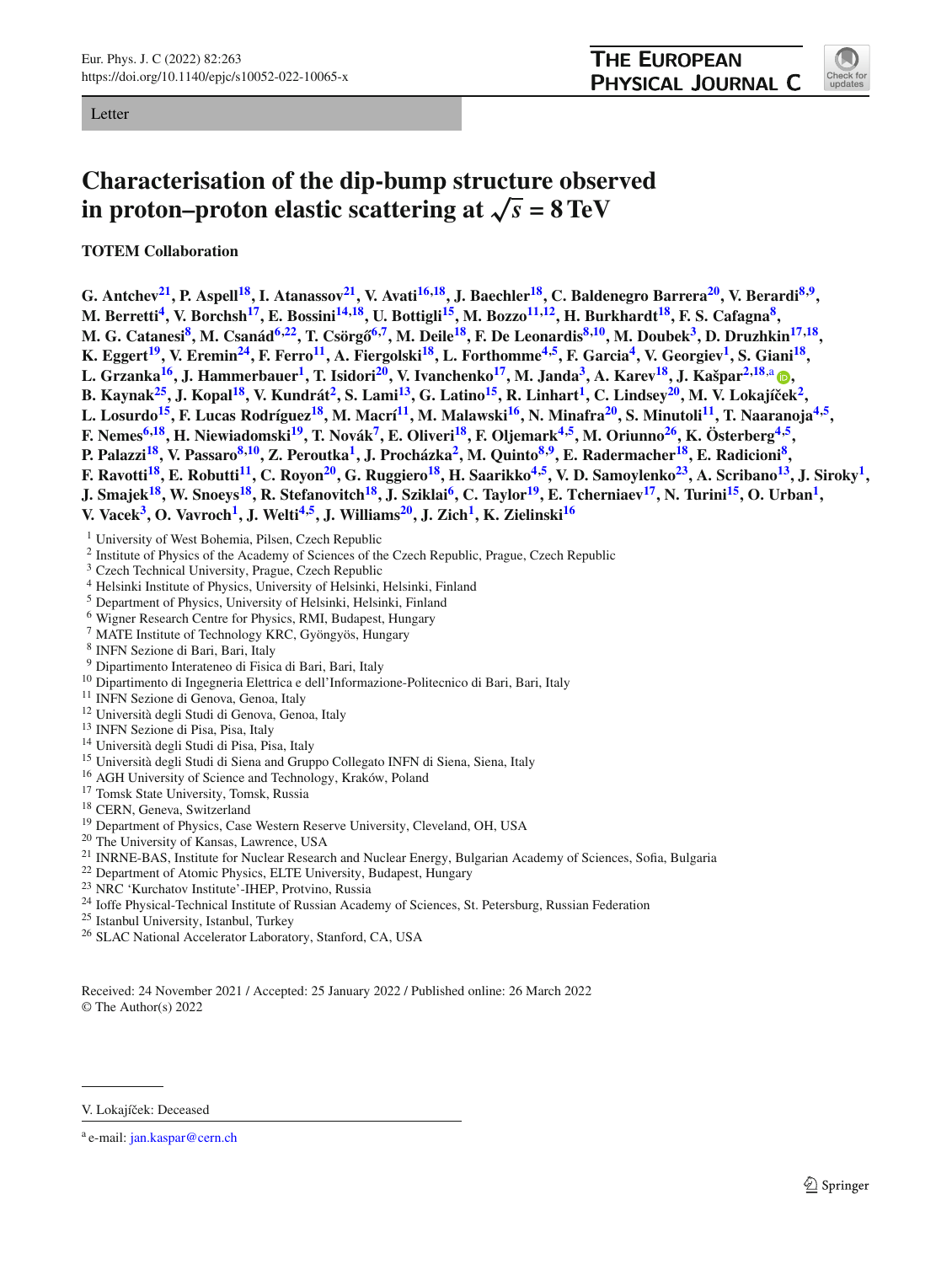Letter

<span id="page-0-16"></span>

# **Characterisation of the dip-bump structure observed in proton–proton elastic scattering at**  $\sqrt{s}$  = 8 TeV

**TOTEM Collaboration**

**G. Antchev[21,](#page-0-0) P. Aspel[l18,](#page-0-1) I. Atanasso[v21,](#page-0-0) V. Avat[i16](#page-0-2)[,18,](#page-0-1) J. Baechle[r18,](#page-0-1) C. Baldenegro Barrer[a20,](#page-0-3) V. Berard[i8](#page-0-4)[,9,](#page-0-5) M. Berretti[4,](#page-0-6) V. Borchs[h17,](#page-0-7) E. Bossin[i14](#page-0-8)[,18,](#page-0-1) U. Bottigl[i15,](#page-0-9) M. Bozz[o11](#page-0-10)[,12,](#page-0-11) H. Burkhard[t18,](#page-0-1) F. S. Cafagn[a8,](#page-0-4)** M. G. Catanesi<sup>8</sup>, M. Csanád<sup>6,22</sup>, T. Csörgő<sup>6,7</sup>, M. Deile<sup>18</sup>, F. De Leonardis<sup>[8,](#page-0-4)10</sup>, M. Doubek<sup>3</sup>, D. Druzhkin<sup>17,18</sup>, K. Eggert<sup>19</sup>, V. Eremin<sup>24</sup>, F. Ferro<sup>11</sup>, A. Fiergolski<sup>18</sup>, L. Forthomme<sup>4,5</sup>, F. Garcia<sup>4</sup>, V. Georgiev<sup>1</sup>, S. Giani<sup>18</sup>, **L. Grzanka[16,](#page-0-2) J. Hammerbaue[r1,](#page-0-20) T. Isidor[i20,](#page-0-3) V. Ivanchenk[o17,](#page-0-7) M. Jand[a3,](#page-0-16) A. Kare[v18,](#page-0-1) J. Kašpa[r2](#page-0-20)[,18](#page-0-1)**,a **[,](http://orcid.org/0000-0001-5639-2267) B. Kaynak[25,](#page-0-21) J. Kopa[l18,](#page-0-1) V. Kundrá[t2,](#page-0-20) S. Lam[i13,](#page-0-22) G. Latin[o15,](#page-0-9) R. Linhar[t1,](#page-0-20) C. Lindse[y20,](#page-0-3) M. V. Lokajíˇce[k2,](#page-0-20) L. Losurdo[15,](#page-0-9) F. Lucas Rodrígue[z18,](#page-0-1) M. Macr[í11,](#page-0-10) M. Malawsk[i16,](#page-0-2) N. Minafr[a20,](#page-0-3) S. Minutol[i11,](#page-0-10) T. Naaranoj[a4](#page-0-6)[,5,](#page-0-19) F. Nemes[6](#page-0-12)[,18,](#page-0-1) H. Niewiadomsk[i19,](#page-0-17) T. Nová[k7,](#page-0-14) E. Oliver[i18,](#page-0-1) F. Oljemar[k4](#page-0-6)[,5,](#page-0-19) M. Oriunn[o26,](#page-0-23) K. Österber[g4](#page-0-6)[,5,](#page-0-19) P. Palazzi[18,](#page-0-1) V. Passar[o8](#page-0-4)[,10,](#page-0-15) Z. Peroutk[a1,](#page-0-20) J. Procházk[a2,](#page-0-20) M. Quint[o8](#page-0-4)[,9,](#page-0-5) E. Radermache[r18,](#page-0-1) E. Radicion[i8,](#page-0-4)** F. Ravotti<sup>18</sup>, E. Robutti<sup>11</sup>, C. Royon<sup>20</sup>, G. Ruggiero<sup>18</sup>, H. Saarikko<sup>4,5</sup>, V. D. Samoylenko<sup>23</sup>, A. Scribano<sup>13</sup>, J. Siroky<sup>1</sup>, **J. Smajek[18,](#page-0-1) W. Snoey[s18,](#page-0-1) R. Stefanovitc[h18,](#page-0-1) J. Szikla[i6,](#page-0-12) C. Taylo[r19,](#page-0-17) E. Tcherniae[v17,](#page-0-7) N. Turin[i15,](#page-0-9) O. Urba[n1,](#page-0-20) V. Vacek[3,](#page-0-16) O. Vavroc[h1,](#page-0-20) J. Welt[i4](#page-0-6)[,5,](#page-0-19) J. William[s20,](#page-0-3) J. Zic[h1,](#page-0-20) K. Zielinsk[i16](#page-0-2)**

<span id="page-0-20"></span><sup>1</sup> University of West Bohemia, Pilsen, Czech Republic

- <span id="page-0-6"></span><sup>2</sup> Institute of Physics of the Academy of Sciences of the Czech Republic, Prague, Czech Republic
- <span id="page-0-19"></span><sup>3</sup> Czech Technical University, Prague, Czech Republic
- <span id="page-0-12"></span><sup>4</sup> Helsinki Institute of Physics, University of Helsinki, Helsinki, Finland
- <span id="page-0-14"></span><sup>5</sup> Department of Physics, University of Helsinki, Helsinki, Finland
- <sup>6</sup> Wigner Research Centre for Physics, RMI, Budapest, Hungary
- <span id="page-0-15"></span><span id="page-0-5"></span><span id="page-0-4"></span><sup>7</sup> MATE Institute of Technology KRC, Gyöngyös, Hungary
- <span id="page-0-10"></span>
- 8 INFN Sezione di Bari, Bari, Italy<br>9 Dipartimento Interateneo di Fisica di Bari, Bari, Italy
- <sup>10</sup> Dipartimento di Ingegneria Elettrica e dell'Informazione-Politecnico di Bari, Bari, Italy<br><sup>11</sup> INFN Sezione di Genova, Genoa, Italy<br><sup>12</sup> Università degli Studi di Genova, Genoa, Italy<br><sup>13</sup> INFN Sezione di Pisa, Pisa,
- <span id="page-0-22"></span><span id="page-0-11"></span>
- <span id="page-0-8"></span>
- <span id="page-0-9"></span>
- <span id="page-0-2"></span>
- <span id="page-0-7"></span>
- <span id="page-0-1"></span>
- <span id="page-0-17"></span>
- <span id="page-0-3"></span>
- 
- <span id="page-0-24"></span><span id="page-0-13"></span><span id="page-0-0"></span>
- <sup>16</sup> AGH University of Science and Technology, Kraków, Poland<br>
<sup>17</sup> Tomsk State University, Tomsk, Russia<br>
<sup>18</sup> CERN, Geneva, Switzerland<br>
<sup>19</sup> Department of Physics, Case Western Reserve University, Cleveland, OH, USA<br>
<sup>2</sup>
- 
- <span id="page-0-23"></span><span id="page-0-21"></span><span id="page-0-18"></span>
- 
- 
- <sup>26</sup> SLAC National Accelerator Laboratory, Stanford, CA, USA

Received: 24 November 2021 / Accepted: 25 January 2022 / Published online: 26 March 2022 © The Author(s) 2022

V. Lokajíček: Deceased

a e-mail: [jan.kaspar@cern.ch](mailto:jan.kaspar@cern.ch)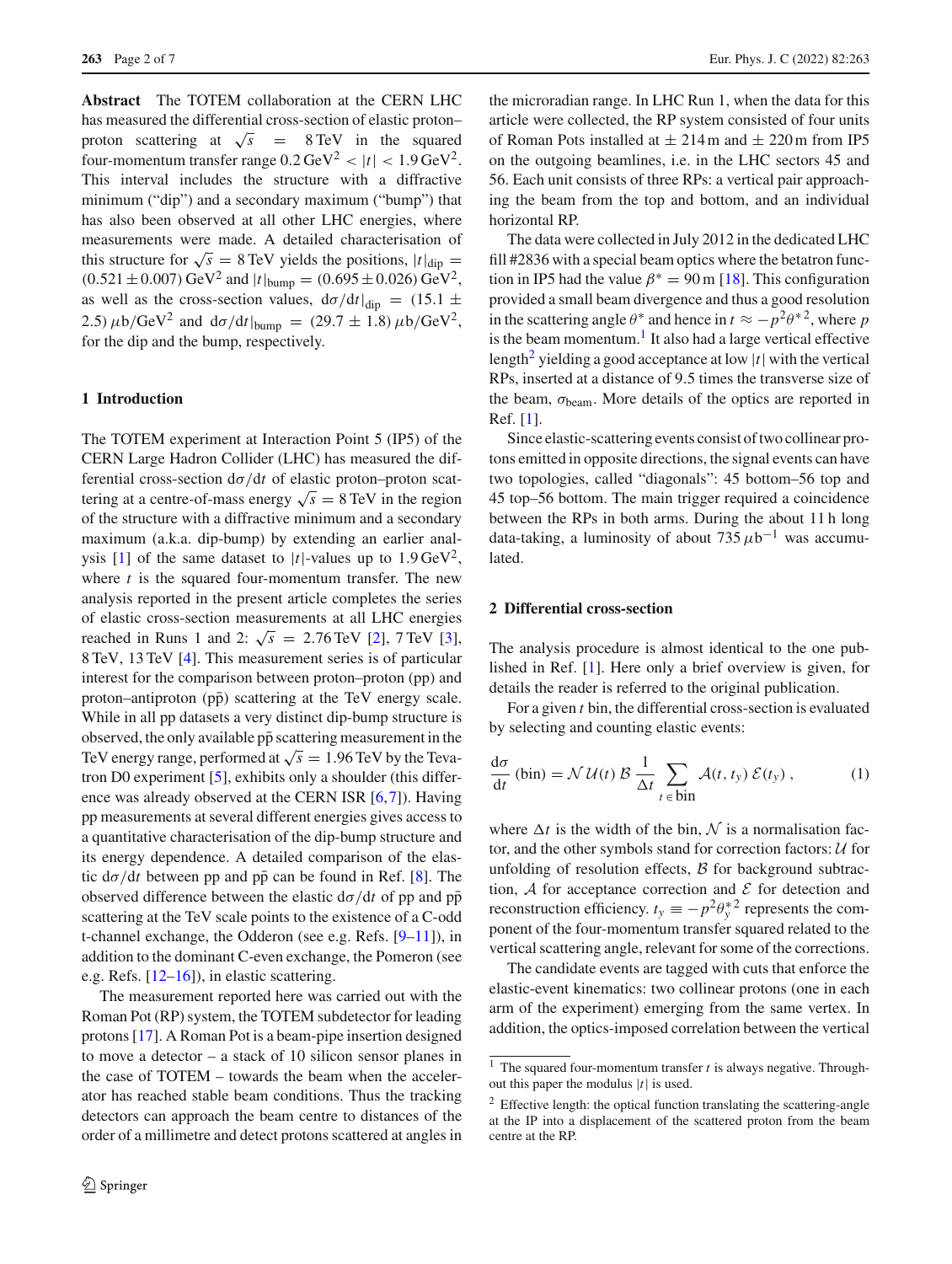**Abstract** The TOTEM collaboration at the CERN LHC has measured the differential cross-section of elastic proton– proton scattering at  $\sqrt{s}$  = 8 TeV in the squared four-momentum transfer range  $0.2 \text{ GeV}^2$  <  $|t|$  < 1.9 GeV<sup>2</sup>. This interval includes the structure with a diffractive minimum ("dip") and a secondary maximum ("bump") that has also been observed at all other LHC energies, where measurements were made. A detailed characterisation of this structure for  $\sqrt{s} = 8$  TeV yields the positions,  $|t|_{\text{dip}} =$  $(0.521 \pm 0.007)$  GeV<sup>2</sup> and  $|t|_{bump} = (0.695 \pm 0.026)$  GeV<sup>2</sup>, as well as the cross-section values,  $d\sigma/dt|_{dip} = (15.1 \pm$ 2.5)  $\mu$ b/GeV<sup>2</sup> and d $\sigma$ /dt|<sub>bump</sub> = (29.7 ± 1.8)  $\mu$ b/GeV<sup>2</sup>, for the dip and the bump, respectively.

# **1 Introduction**

The TOTEM experiment at Interaction Point 5 (IP5) of the CERN Large Hadron Collider (LHC) has measured the differential cross-section dσ/d*t* of elastic proton–proton scattering at a centre-of-mass energy  $\sqrt{s} = 8$  TeV in the region of the structure with a diffractive minimum and a secondary maximum (a.k.a. dip-bump) by extending an earlier anal-ysis [\[1\]](#page-6-0) of the same dataset to  $|t|$ -values up to  $1.9 \text{ GeV}^2$ , where *t* is the squared four-momentum transfer. The new analysis reported in the present article completes the series of elastic cross-section measurements at all LHC energies reached in Runs 1 and 2:  $\sqrt{s}$  = 2.76 TeV [\[2](#page-6-1)], 7 TeV [\[3](#page-6-2)], 8 TeV, 13 TeV [\[4\]](#page-6-3). This measurement series is of particular interest for the comparison between proton–proton (pp) and proton–antiproton  $(p\bar{p})$  scattering at the TeV energy scale. While in all pp datasets a very distinct dip-bump structure is observed, the only available pp scattering measurement in the TeV energy range, performed at  $\sqrt{s} = 1.96$  TeV by the Tevatron D0 experiment [\[5](#page-6-4)], exhibits only a shoulder (this difference was already observed at the CERN ISR [\[6](#page-6-5)[,7](#page-6-6)]). Having pp measurements at several different energies gives access to a quantitative characterisation of the dip-bump structure and its energy dependence. A detailed comparison of the elastic  $d\sigma/dt$  between pp and pp can be found in Ref. [[8\]](#page-6-7). The observed difference between the elastic  $d\sigma/dt$  of pp and  $p\bar{p}$ scattering at the TeV scale points to the existence of a C-odd t-channel exchange, the Odderon (see e.g. Refs. [\[9](#page-6-8)[–11](#page-6-9)]), in addition to the dominant C-even exchange, the Pomeron (see e.g. Refs. [\[12](#page-6-10)[–16](#page-6-11)]), in elastic scattering.

The measurement reported here was carried out with the Roman Pot (RP) system, the TOTEM subdetector for leading protons [\[17](#page-6-12)]. A Roman Pot is a beam-pipe insertion designed to move a detector – a stack of 10 silicon sensor planes in the case of TOTEM – towards the beam when the accelerator has reached stable beam conditions. Thus the tracking detectors can approach the beam centre to distances of the order of a millimetre and detect protons scattered at angles in

the microradian range. In LHC Run 1, when the data for this article were collected, the RP system consisted of four units of Roman Pots installed at  $\pm 214$  m and  $\pm 220$  m from IP5 on the outgoing beamlines, i.e. in the LHC sectors 45 and 56. Each unit consists of three RPs: a vertical pair approaching the beam from the top and bottom, and an individual horizontal RP.

The data were collected in July 2012 in the dedicated LHC fill #2836 with a special beam optics where the betatron function in IP5 had the value  $\beta^* = 90$  m [\[18](#page-6-13)]. This configuration provided a small beam divergence and thus a good resolution in the scattering angle  $\theta^*$  and hence in  $t \approx -p^2\theta^{*2}$ , where *p* is the beam momentum. $<sup>1</sup>$  It also had a large vertical effective</sup> length<sup>2</sup> yielding a good acceptance at low  $|t|$  with the vertical RPs, inserted at a distance of 9.5 times the transverse size of the beam,  $\sigma_{\text{beam}}$ . More details of the optics are reported in Ref. [\[1\]](#page-6-0).

Since elastic-scattering events consist of two collinear protons emitted in opposite directions, the signal events can have two topologies, called "diagonals": 45 bottom–56 top and 45 top–56 bottom. The main trigger required a coincidence between the RPs in both arms. During the about 11 h long data-taking, a luminosity of about  $735 \mu b^{-1}$  was accumulated.

# <span id="page-1-2"></span>**2 Differential cross-section**

The analysis procedure is almost identical to the one published in Ref. [\[1\]](#page-6-0). Here only a brief overview is given, for details the reader is referred to the original publication.

For a given *t* bin, the differential cross-section is evaluated by selecting and counting elastic events:

$$
\frac{d\sigma}{dt} \text{ (bin)} = \mathcal{N} \mathcal{U}(t) \mathcal{B} \frac{1}{\Delta t} \sum_{t \in \text{bin}} \mathcal{A}(t, t_y) \mathcal{E}(t_y), \tag{1}
$$

where  $\Delta t$  is the width of the bin,  $\mathcal N$  is a normalisation factor, and the other symbols stand for correction factors: *U* for unfolding of resolution effects, *B* for background subtraction,  $A$  for acceptance correction and  $E$  for detection and reconstruction efficiency.  $t_y \equiv -p^2 \theta_y^*{}^2$  represents the component of the four-momentum transfer squared related to the vertical scattering angle, relevant for some of the corrections.

The candidate events are tagged with cuts that enforce the elastic-event kinematics: two collinear protons (one in each arm of the experiment) emerging from the same vertex. In addition, the optics-imposed correlation between the vertical

<span id="page-1-0"></span><sup>1</sup> The squared four-momentum transfer *t* is always negative. Throughout this paper the modulus |*t*| is used.

<span id="page-1-1"></span><sup>&</sup>lt;sup>2</sup> Effective length: the optical function translating the scattering-angle at the IP into a displacement of the scattered proton from the beam centre at the RP.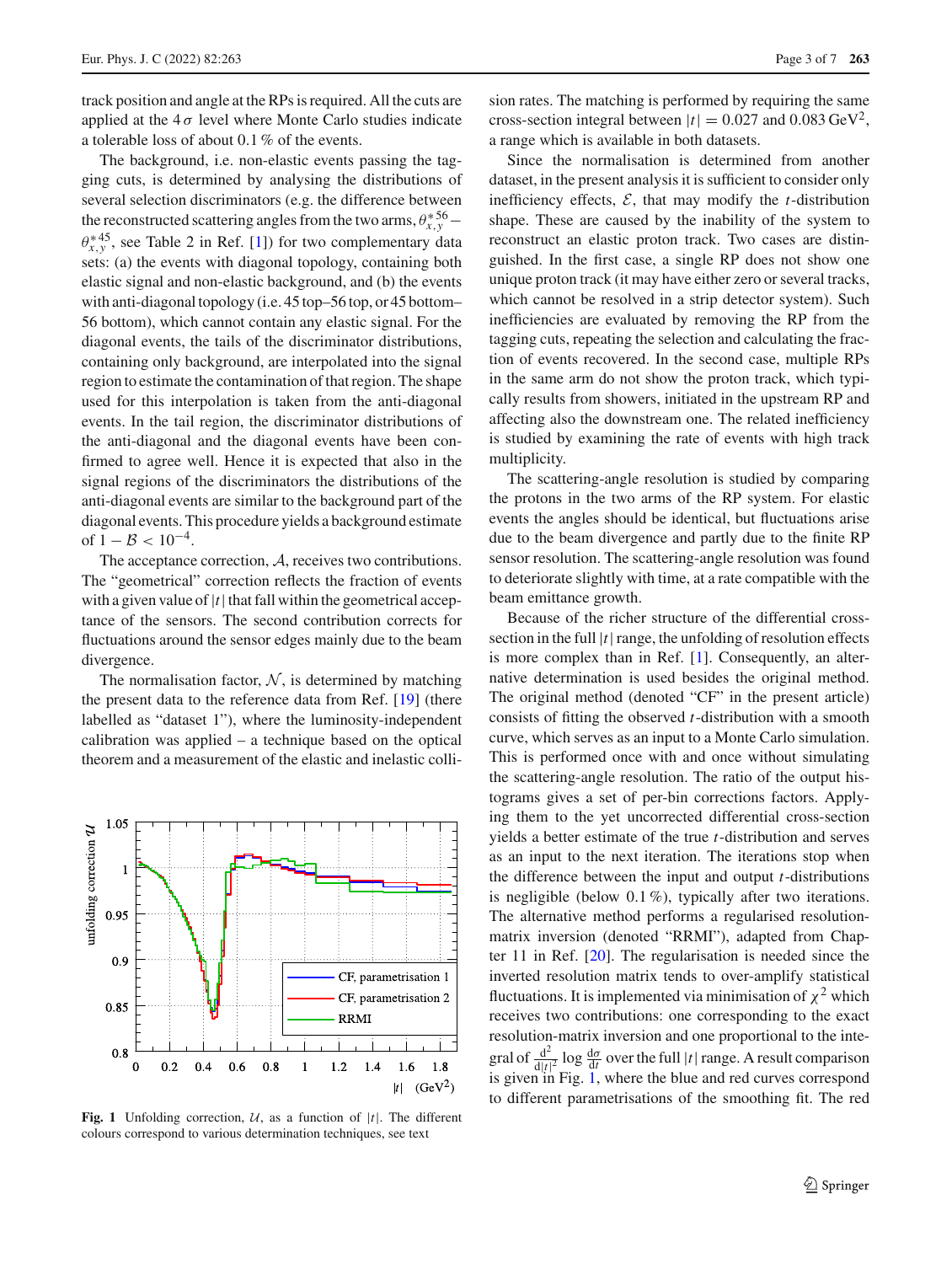track position and angle at the RPs is required. All the cuts are applied at the  $4\sigma$  level where Monte Carlo studies indicate a tolerable loss of about 0.1 % of the events.

The background, i.e. non-elastic events passing the tagging cuts, is determined by analysing the distributions of several selection discriminators (e.g. the difference between the reconstructed scattering angles from the two arms,  $\theta_{x,y}^{*56}$  –  $\theta_{x,y}^{*45}$ , see Table 2 in Ref. [\[1](#page-6-0)]) for two complementary data sets: (a) the events with diagonal topology, containing both elastic signal and non-elastic background, and (b) the events with anti-diagonal topology (i.e. 45 top–56 top, or 45 bottom– 56 bottom), which cannot contain any elastic signal. For the diagonal events, the tails of the discriminator distributions, containing only background, are interpolated into the signal region to estimate the contamination of that region. The shape used for this interpolation is taken from the anti-diagonal events. In the tail region, the discriminator distributions of the anti-diagonal and the diagonal events have been confirmed to agree well. Hence it is expected that also in the signal regions of the discriminators the distributions of the anti-diagonal events are similar to the background part of the diagonal events. This procedure yields a background estimate of  $1 - B < 10^{-4}$ .

The acceptance correction, *A*, receives two contributions. The "geometrical" correction reflects the fraction of events with a given value of  $|t|$  that fall within the geometrical acceptance of the sensors. The second contribution corrects for fluctuations around the sensor edges mainly due to the beam divergence.

The normalisation factor,  $N$ , is determined by matching the present data to the reference data from Ref. [\[19\]](#page-6-14) (there labelled as "dataset 1"), where the luminosity-independent calibration was applied – a technique based on the optical theorem and a measurement of the elastic and inelastic colli-



<span id="page-2-0"></span>**Fig. 1** Unfolding correction,  $U$ , as a function of  $|t|$ . The different colours correspond to various determination techniques, see text

sion rates. The matching is performed by requiring the same cross-section integral between  $|t| = 0.027$  and  $0.083$  GeV<sup>2</sup>, a range which is available in both datasets.

Since the normalisation is determined from another dataset, in the present analysis it is sufficient to consider only inefficiency effects,  $\mathcal{E}$ , that may modify the *t*-distribution shape. These are caused by the inability of the system to reconstruct an elastic proton track. Two cases are distinguished. In the first case, a single RP does not show one unique proton track (it may have either zero or several tracks, which cannot be resolved in a strip detector system). Such inefficiencies are evaluated by removing the RP from the tagging cuts, repeating the selection and calculating the fraction of events recovered. In the second case, multiple RPs in the same arm do not show the proton track, which typically results from showers, initiated in the upstream RP and affecting also the downstream one. The related inefficiency is studied by examining the rate of events with high track multiplicity.

The scattering-angle resolution is studied by comparing the protons in the two arms of the RP system. For elastic events the angles should be identical, but fluctuations arise due to the beam divergence and partly due to the finite RP sensor resolution. The scattering-angle resolution was found to deteriorate slightly with time, at a rate compatible with the beam emittance growth.

Because of the richer structure of the differential crosssection in the full  $|t|$  range, the unfolding of resolution effects is more complex than in Ref. [\[1](#page-6-0)]. Consequently, an alternative determination is used besides the original method. The original method (denoted "CF" in the present article) consists of fitting the observed *t*-distribution with a smooth curve, which serves as an input to a Monte Carlo simulation. This is performed once with and once without simulating the scattering-angle resolution. The ratio of the output histograms gives a set of per-bin corrections factors. Applying them to the yet uncorrected differential cross-section yields a better estimate of the true *t*-distribution and serves as an input to the next iteration. The iterations stop when the difference between the input and output *t*-distributions is negligible (below  $0.1\%$ ), typically after two iterations. The alternative method performs a regularised resolutionmatrix inversion (denoted "RRMI"), adapted from Chapter 11 in Ref. [\[20](#page-6-15)]. The regularisation is needed since the inverted resolution matrix tends to over-amplify statistical fluctuations. It is implemented via minimisation of  $\chi^2$  which receives two contributions: one corresponding to the exact resolution-matrix inversion and one proportional to the integral of  $\frac{d^2}{dt^2}$  log  $\frac{d\sigma}{dt}$  over the full  $|t|$  range. A result comparison is given in Fig. [1,](#page-2-0) where the blue and red curves correspond to different parametrisations of the smoothing fit. The red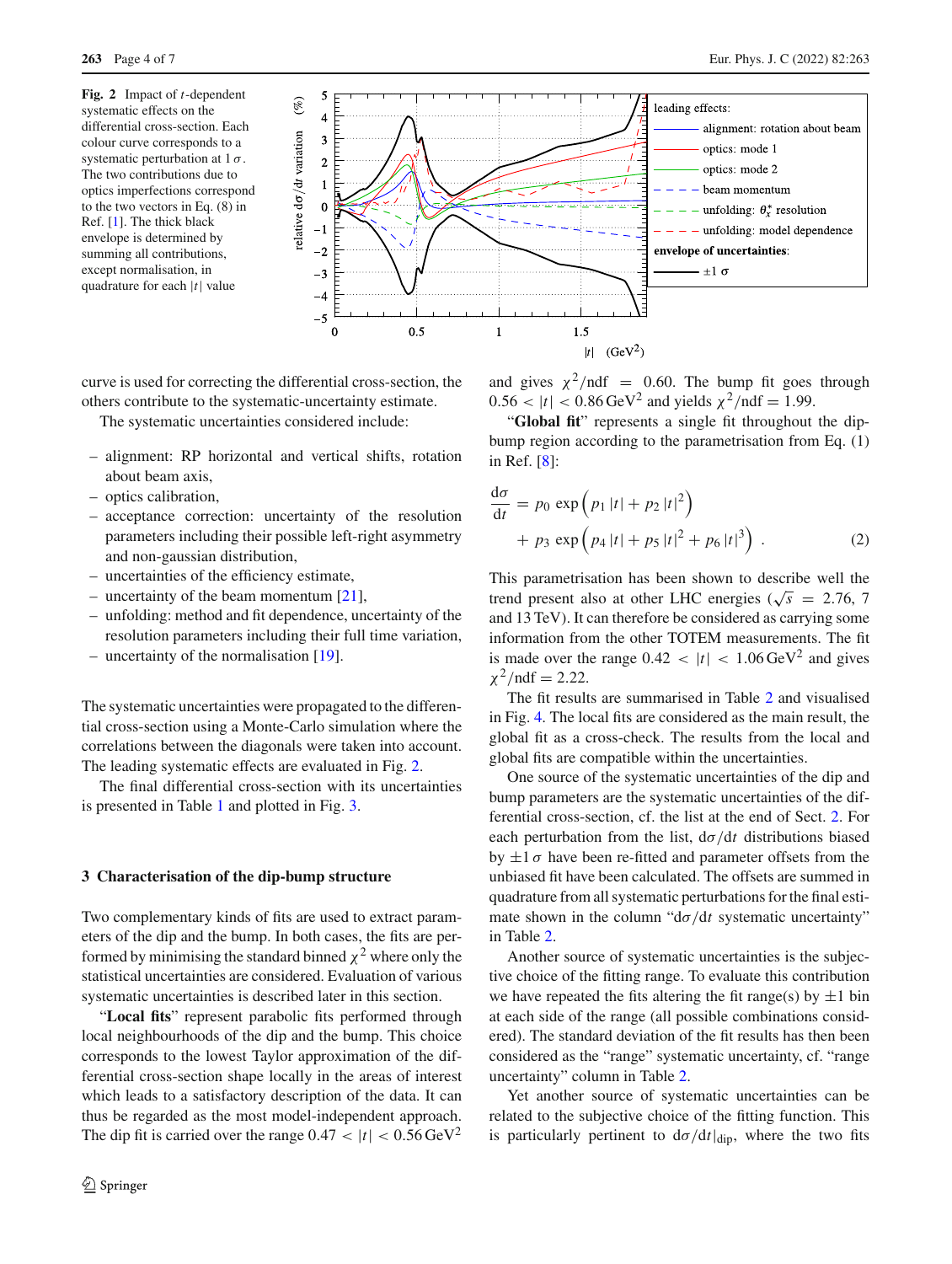<span id="page-3-0"></span>**Fig. 2** Impact of *t*-dependent systematic effects on the differential cross-section. Each colour curve corresponds to a systematic perturbation at  $1\sigma$ . The two contributions due to optics imperfections correspond to the two vectors in Eq. (8) in Ref. [\[1\]](#page-6-0). The thick black envelope is determined by summing all contributions, except normalisation, in quadrature for each |*t*| value

**263** Page 4 of 7 Eur. Phys. J. C (2022) 82 :263



curve is used for correcting the differential cross-section, the others contribute to the systematic-uncertainty estimate.

The systematic uncertainties considered include:

- alignment: RP horizontal and vertical shifts, rotation about beam axis,
- optics calibration,
- acceptance correction: uncertainty of the resolution parameters including their possible left-right asymmetry and non-gaussian distribution,
- uncertainties of the efficiency estimate,
- uncertainty of the beam momentum [\[21\]](#page-6-16),
- unfolding: method and fit dependence, uncertainty of the resolution parameters including their full time variation,
- uncertainty of the normalisation  $[19]$  $[19]$ .

The systematic uncertainties were propagated to the differential cross-section using a Monte-Carlo simulation where the correlations between the diagonals were taken into account. The leading systematic effects are evaluated in Fig. [2.](#page-3-0)

The final differential cross-section with its uncertainties is presented in Table [1](#page-4-0) and plotted in Fig. [3.](#page-5-0)

#### **3 Characterisation of the dip-bump structure**

Two complementary kinds of fits are used to extract parameters of the dip and the bump. In both cases, the fits are performed by minimising the standard binned  $\chi^2$  where only the statistical uncertainties are considered. Evaluation of various systematic uncertainties is described later in this section.

"**Local fits**" represent parabolic fits performed through local neighbourhoods of the dip and the bump. This choice corresponds to the lowest Taylor approximation of the differential cross-section shape locally in the areas of interest which leads to a satisfactory description of the data. It can thus be regarded as the most model-independent approach. The dip fit is carried over the range  $0.47 < |t| < 0.56 \,\text{GeV}^2$ 

and gives  $\chi^2$ /ndf = 0.60. The bump fit goes through  $0.56 < |t| < 0.86$  GeV<sup>2</sup> and yields  $\chi^2/\text{ndf} = 1.99$ .

"**Global fit**" represents a single fit throughout the dipbump region according to the parametrisation from Eq. (1) in Ref. [\[8](#page-6-7)]:

$$
\frac{d\sigma}{dt} = p_0 \exp(p_1 |t| + p_2 |t|^2) \n+ p_3 \exp(p_4 |t| + p_5 |t|^2 + p_6 |t|^3).
$$
\n(2)

This parametrisation has been shown to describe well the trend present also at other LHC energies ( $\sqrt{s}$  = 2.76, 7 and 13 TeV). It can therefore be considered as carrying some information from the other TOTEM measurements. The fit is made over the range  $0.42 < |t| < 1.06 \,\text{GeV}^2$  and gives  $\chi^2$ /ndf = 2.22.

The fit results are summarised in Table [2](#page-5-1) and visualised in Fig. [4.](#page-5-2) The local fits are considered as the main result, the global fit as a cross-check. The results from the local and global fits are compatible within the uncertainties.

One source of the systematic uncertainties of the dip and bump parameters are the systematic uncertainties of the differential cross-section, cf. the list at the end of Sect. [2.](#page-1-2) For each perturbation from the list,  $d\sigma/dt$  distributions biased by  $\pm 1 \sigma$  have been re-fitted and parameter offsets from the unbiased fit have been calculated. The offsets are summed in quadrature from all systematic perturbations for the final estimate shown in the column " $d\sigma/dt$  systematic uncertainty" in Table [2.](#page-5-1)

Another source of systematic uncertainties is the subjective choice of the fitting range. To evaluate this contribution we have repeated the fits altering the fit range(s) by  $\pm 1$  bin at each side of the range (all possible combinations considered). The standard deviation of the fit results has then been considered as the "range" systematic uncertainty, cf. "range uncertainty" column in Table [2.](#page-5-1)

Yet another source of systematic uncertainties can be related to the subjective choice of the fitting function. This is particularly pertinent to  $d\sigma/dt|_{dip}$ , where the two fits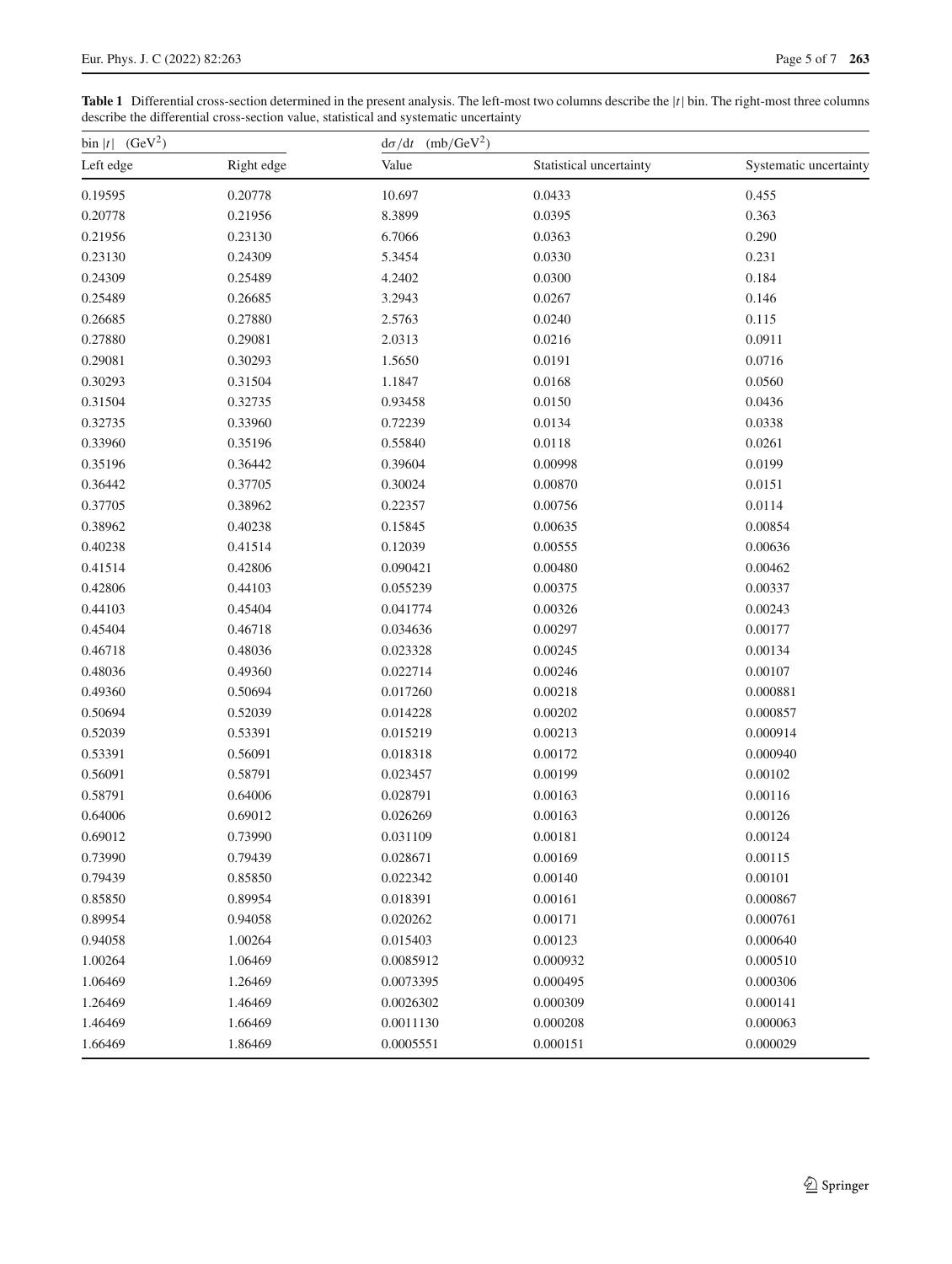<span id="page-4-0"></span>**Table 1** Differential cross-section determined in the present analysis. The left-most two columns describe the |*t*| bin. The right-most three columns describe the differential cross-section value, statistical and systematic uncertainty

| (GeV <sup>2</sup> )<br>$\frac{1}{t}$ |         | (mb/GeV <sup>2</sup> )<br>$d\sigma/dt$ |                         |                        |  |  |
|--------------------------------------|---------|----------------------------------------|-------------------------|------------------------|--|--|
| Left edge<br>Right edge              |         | Value                                  | Statistical uncertainty | Systematic uncertainty |  |  |
| 0.19595                              | 0.20778 | 10.697                                 | 0.0433                  | 0.455                  |  |  |
| 0.20778                              | 0.21956 | 8.3899                                 | 0.0395                  | 0.363                  |  |  |
| 0.21956                              | 0.23130 | 6.7066                                 | 0.0363                  | 0.290                  |  |  |
| 0.23130                              | 0.24309 | 5.3454                                 | 0.0330                  | 0.231                  |  |  |
| 0.24309                              | 0.25489 | 4.2402                                 | 0.0300                  | 0.184                  |  |  |
| 0.25489                              | 0.26685 | 3.2943                                 | 0.0267                  | 0.146                  |  |  |
| 0.26685                              | 0.27880 | 2.5763                                 | 0.0240                  | 0.115                  |  |  |
| 0.27880                              | 0.29081 | 2.0313                                 | 0.0216                  | 0.0911                 |  |  |
| 0.29081                              | 0.30293 | 1.5650                                 | 0.0191                  | 0.0716                 |  |  |
| 0.30293                              | 0.31504 | 1.1847                                 | 0.0168                  | 0.0560                 |  |  |
| 0.31504                              | 0.32735 | 0.93458                                | 0.0150                  | 0.0436                 |  |  |
| 0.32735                              | 0.33960 | 0.72239                                | 0.0134                  | 0.0338                 |  |  |
| 0.33960                              | 0.35196 | 0.55840                                | 0.0118                  | 0.0261                 |  |  |
| 0.35196                              | 0.36442 | 0.39604                                | 0.00998                 | 0.0199                 |  |  |
| 0.36442                              | 0.37705 | 0.30024                                | 0.00870                 | 0.0151                 |  |  |
| 0.37705                              | 0.38962 | 0.22357                                | 0.00756                 | 0.0114                 |  |  |
| 0.38962                              | 0.40238 | 0.15845                                | 0.00635                 | 0.00854                |  |  |
| 0.40238                              | 0.41514 | 0.12039                                | 0.00555                 | 0.00636                |  |  |
| 0.41514                              | 0.42806 | 0.090421                               | 0.00480                 | 0.00462                |  |  |
| 0.42806                              | 0.44103 | 0.055239                               | 0.00375                 | 0.00337                |  |  |
| 0.44103                              | 0.45404 | 0.041774                               | 0.00326                 | 0.00243                |  |  |
| 0.45404                              | 0.46718 | 0.034636                               | 0.00297                 | 0.00177                |  |  |
| 0.46718                              | 0.48036 | 0.023328                               | 0.00245                 | 0.00134                |  |  |
| 0.48036                              | 0.49360 | 0.022714                               | 0.00246                 | 0.00107                |  |  |
| 0.49360                              | 0.50694 | 0.017260                               | 0.00218                 | 0.000881               |  |  |
| 0.50694                              | 0.52039 | 0.014228                               | 0.00202                 | 0.000857               |  |  |
| 0.52039                              | 0.53391 | 0.015219                               | 0.00213                 | 0.000914               |  |  |
| 0.53391                              | 0.56091 | 0.018318                               | 0.00172                 | 0.000940               |  |  |
| 0.56091                              | 0.58791 | 0.023457                               | 0.00199                 | 0.00102                |  |  |
| 0.58791                              | 0.64006 | 0.028791                               | 0.00163                 | 0.00116                |  |  |
| 0.64006                              | 0.69012 | 0.026269                               | 0.00163                 | 0.00126                |  |  |
| 0.69012                              | 0.73990 | 0.031109                               | 0.00181                 | 0.00124                |  |  |
| 0.73990                              | 0.79439 | 0.028671                               | 0.00169                 | 0.00115                |  |  |
| 0.79439                              | 0.85850 | 0.022342                               | 0.00140                 | 0.00101                |  |  |
| 0.85850                              | 0.89954 | 0.018391                               | 0.00161                 | 0.000867               |  |  |
| 0.89954                              | 0.94058 | 0.020262                               | 0.00171                 | 0.000761               |  |  |
| 0.94058                              | 1.00264 | 0.015403                               | 0.00123                 | 0.000640               |  |  |
| 1.00264                              | 1.06469 | 0.0085912                              | 0.000932                | 0.000510               |  |  |
| 1.06469                              | 1.26469 | 0.0073395                              | 0.000495                | 0.000306               |  |  |
| 1.26469                              | 1.46469 | 0.0026302                              | 0.000309                | 0.000141               |  |  |
| 1.46469                              | 1.66469 | 0.0011130                              | 0.000208                | 0.000063               |  |  |
| 1.66469                              | 1.86469 | 0.0005551                              | 0.000151                | 0.000029               |  |  |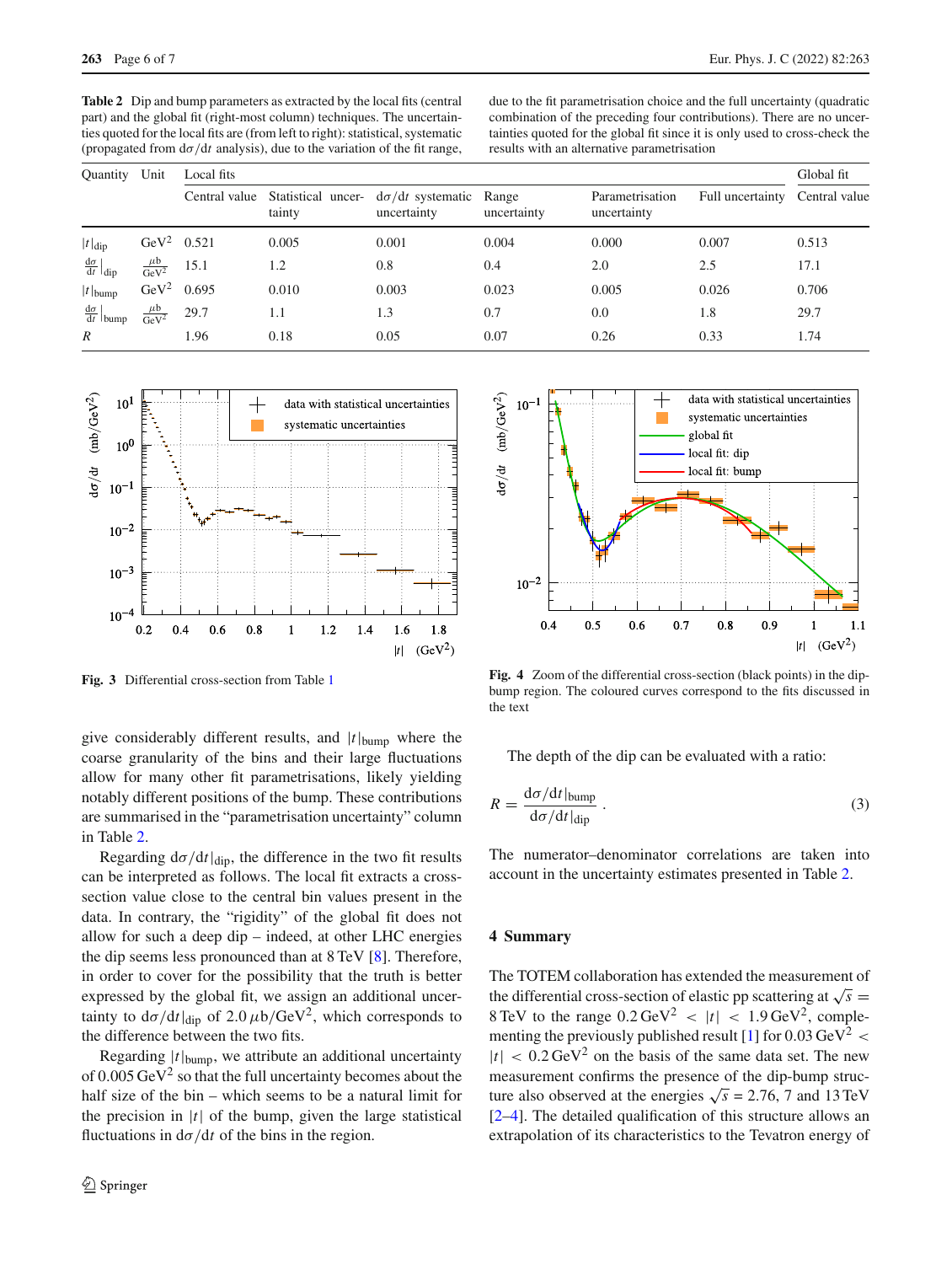<span id="page-5-1"></span>**Table 2** Dip and bump parameters as extracted by the local fits (central part) and the global fit (right-most column) techniques. The uncertainties quoted for the local fits are (from left to right): statistical, systematic (propagated from  $d\sigma/dt$  analysis), due to the variation of the fit range,

due to the fit parametrisation choice and the full uncertainty (quadratic combination of the preceding four contributions). There are no uncertainties quoted for the global fit since it is only used to cross-check the results with an alternative parametrisation

| Quantity                                | Unit                         | Local fits |        |                                                                               |             |                                |                                |       |
|-----------------------------------------|------------------------------|------------|--------|-------------------------------------------------------------------------------|-------------|--------------------------------|--------------------------------|-------|
|                                         |                              |            | tainty | Central value Statistical uncer- $d\sigma/dt$ systematic Range<br>uncertainty | uncertainty | Parametrisation<br>uncertainty | Full uncertainty Central value |       |
| $ t _{\text{dip}}$                      | GeV <sup>2</sup> 0.521       |            | 0.005  | 0.001                                                                         | 0.004       | 0.000                          | 0.007                          | 0.513 |
| $\frac{d\sigma}{dt}\Big _{dip}$         | $\frac{\mu b}{\text{GeV}^2}$ | 15.1       | 1.2    | 0.8                                                                           | 0.4         | 2.0                            | 2.5                            | 17.1  |
| $ t $ <sub>bump</sub>                   | GeV <sup>2</sup> 0.695       |            | 0.010  | 0.003                                                                         | 0.023       | 0.005                          | 0.026                          | 0.706 |
| $\frac{d\sigma}{dt}\Big _{\text{bump}}$ | $\frac{\mu b}{\text{GeV}^2}$ | 29.7       | 1.1    | 1.3                                                                           | 0.7         | 0.0                            | 1.8                            | 29.7  |
| $\boldsymbol{R}$                        |                              | 1.96       | 0.18   | 0.05                                                                          | 0.07        | 0.26                           | 0.33                           | 1.74  |



<span id="page-5-0"></span>**Fig. 3** Differential cross-section from Table [1](#page-4-0)

give considerably different results, and |*t*|bump where the coarse granularity of the bins and their large fluctuations allow for many other fit parametrisations, likely yielding notably different positions of the bump. These contributions are summarised in the "parametrisation uncertainty" column in Table [2.](#page-5-1)

Regarding  $d\sigma/dt|_{\text{dip}}$ , the difference in the two fit results can be interpreted as follows. The local fit extracts a crosssection value close to the central bin values present in the data. In contrary, the "rigidity" of the global fit does not allow for such a deep dip – indeed, at other LHC energies the dip seems less pronounced than at 8 TeV [\[8](#page-6-7)]. Therefore, in order to cover for the possibility that the truth is better expressed by the global fit, we assign an additional uncertainty to  $d\sigma/dt|_{dip}$  of 2.0  $\mu b/GeV^2$ , which corresponds to the difference between the two fits.

Regarding |*t*|bump, we attribute an additional uncertainty of  $0.005 \,\mathrm{GeV}^2$  so that the full uncertainty becomes about the half size of the bin – which seems to be a natural limit for the precision in  $|t|$  of the bump, given the large statistical fluctuations in  $d\sigma/dt$  of the bins in the region.



<span id="page-5-2"></span>**Fig. 4** Zoom of the differential cross-section (black points) in the dipbump region. The coloured curves correspond to the fits discussed in the text

The depth of the dip can be evaluated with a ratio:

$$
R = \frac{\mathrm{d}\sigma/\mathrm{d}t|_{\mathrm{bump}}}{\mathrm{d}\sigma/\mathrm{d}t|_{\mathrm{dip}}} \,. \tag{3}
$$

The numerator–denominator correlations are taken into account in the uncertainty estimates presented in Table [2.](#page-5-1)

# **4 Summary**

The TOTEM collaboration has extended the measurement of the differential cross-section of elastic pp scattering at  $\sqrt{s}$  = 8 TeV to the range  $0.2 \,\text{GeV}^2$  <  $|t|$  < 1.9 GeV<sup>2</sup>, comple-menting the previously published result [\[1](#page-6-0)] for  $0.03 \text{ GeV}^2$  <  $|t| < 0.2 \,\text{GeV}^2$  on the basis of the same data set. The new measurement confirms the presence of the dip-bump structure also observed at the energies  $\sqrt{s}$  = 2.76, 7 and 13 TeV [\[2](#page-6-1)[–4](#page-6-3)]. The detailed qualification of this structure allows an extrapolation of its characteristics to the Tevatron energy of